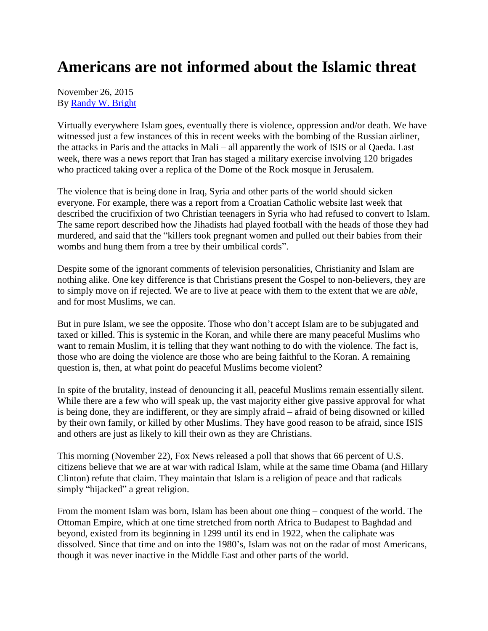## **Americans are not informed about the Islamic threat**

November 26, 2015 By [Randy W. Bright](http://www.tulsabeacon.com/author/slug-o6yd1v)

Virtually everywhere Islam goes, eventually there is violence, oppression and/or death. We have witnessed just a few instances of this in recent weeks with the bombing of the Russian airliner, the attacks in Paris and the attacks in Mali – all apparently the work of ISIS or al Qaeda. Last week, there was a news report that Iran has staged a military exercise involving 120 brigades who practiced taking over a replica of the Dome of the Rock mosque in Jerusalem.

The violence that is being done in Iraq, Syria and other parts of the world should sicken everyone. For example, there was a report from a Croatian Catholic website last week that described the crucifixion of two Christian teenagers in Syria who had refused to convert to Islam. The same report described how the Jihadists had played football with the heads of those they had murdered, and said that the "killers took pregnant women and pulled out their babies from their wombs and hung them from a tree by their umbilical cords".

Despite some of the ignorant comments of television personalities, Christianity and Islam are nothing alike. One key difference is that Christians present the Gospel to non-believers, they are to simply move on if rejected. We are to live at peace with them to the extent that we are *able*, and for most Muslims, we can.

But in pure Islam, we see the opposite. Those who don't accept Islam are to be subjugated and taxed or killed. This is systemic in the Koran, and while there are many peaceful Muslims who want to remain Muslim, it is telling that they want nothing to do with the violence. The fact is, those who are doing the violence are those who are being faithful to the Koran. A remaining question is, then, at what point do peaceful Muslims become violent?

In spite of the brutality, instead of denouncing it all, peaceful Muslims remain essentially silent. While there are a few who will speak up, the vast majority either give passive approval for what is being done, they are indifferent, or they are simply afraid – afraid of being disowned or killed by their own family, or killed by other Muslims. They have good reason to be afraid, since ISIS and others are just as likely to kill their own as they are Christians.

This morning (November 22), Fox News released a poll that shows that 66 percent of U.S. citizens believe that we are at war with radical Islam, while at the same time Obama (and Hillary Clinton) refute that claim. They maintain that Islam is a religion of peace and that radicals simply "hijacked" a great religion.

From the moment Islam was born, Islam has been about one thing – conquest of the world. The Ottoman Empire, which at one time stretched from north Africa to Budapest to Baghdad and beyond, existed from its beginning in 1299 until its end in 1922, when the caliphate was dissolved. Since that time and on into the 1980's, Islam was not on the radar of most Americans, though it was never inactive in the Middle East and other parts of the world.